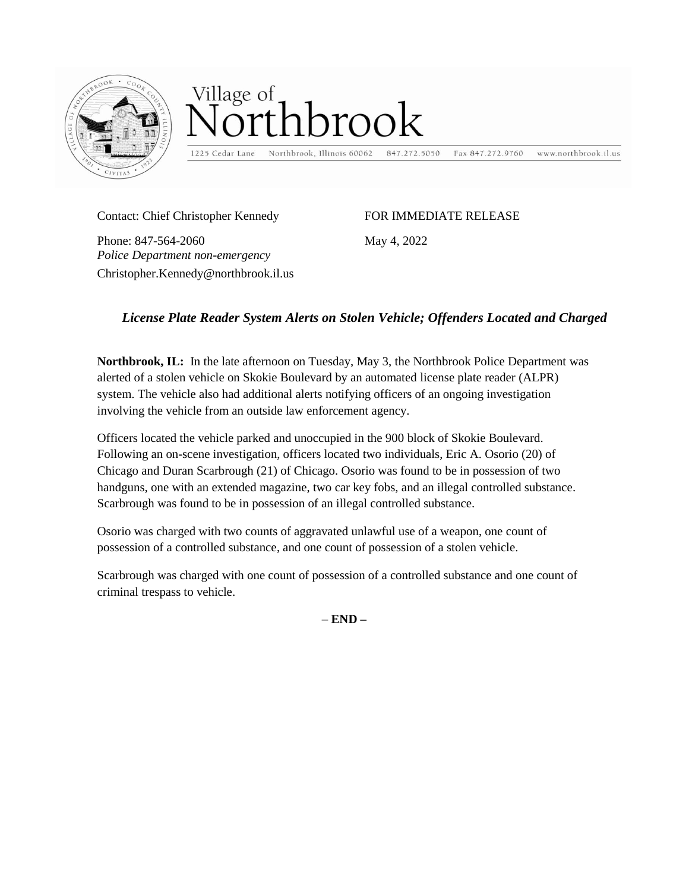

## Village of rthbrook

1225 Cedar Lane

Northbrook, Illinois 60062 847.272.5050

www.northbrook.il.us Fax 847.272.9760

Contact: Chief Christopher Kennedy

FOR IMMEDIATE RELEASE

May 4, 2022

Phone: 847-564-2060 *Police Department non-emergency*  Christopher.Kennedy@northbrook.il.us

## *License Plate Reader System Alerts on Stolen Vehicle; Offenders Located and Charged*

**Northbrook, IL:** In the late afternoon on Tuesday, May 3, the Northbrook Police Department was alerted of a stolen vehicle on Skokie Boulevard by an automated license plate reader (ALPR) system. The vehicle also had additional alerts notifying officers of an ongoing investigation involving the vehicle from an outside law enforcement agency.

Officers located the vehicle parked and unoccupied in the 900 block of Skokie Boulevard. Following an on-scene investigation, officers located two individuals, Eric A. Osorio (20) of Chicago and Duran Scarbrough (21) of Chicago. Osorio was found to be in possession of two handguns, one with an extended magazine, two car key fobs, and an illegal controlled substance. Scarbrough was found to be in possession of an illegal controlled substance.

Osorio was charged with two counts of aggravated unlawful use of a weapon, one count of possession of a controlled substance, and one count of possession of a stolen vehicle.

Scarbrough was charged with one count of possession of a controlled substance and one count of criminal trespass to vehicle.

– **END –**